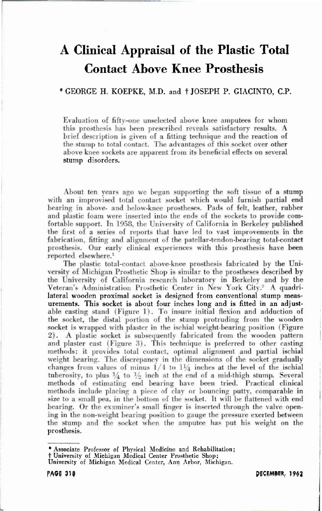# **A Clinical Appraisal of the Plastic Total Contact Above Knee Prosthesis**

## \* GEORGE H. KOEPKE, M.D. and  $\dagger$  JOSEPH P. GIACINTO, C.P.

Evaluation of fifty-one unselected above knee amputees for whom this prosthesis has been **prescribed** reveals satisfactory results. A brief description is given of a fitting technique and the reaction of the stump to total contact. The advantages of this socket over other above knee sockets are apparent from its beneficial effects on several stump disorders.

About ten years ago we began supporting the soft tissue of a stump with an improvised total contact socket which would furnish partial end bearing in above- and below-knee prostheses. Pads of felt, leather, rubber and plastic foam were inserted into the ends of the sockets to provide com fortable support. In 1958. the University of California in Berkeley published the first of a series of reports that have led to vast improvements in the fabrication, fitting and alignment of the patellar-tendon-bearing total-contact prosthesis. Our early clinical experiences with this prosthesis have been reported elsewhere.<sup>1</sup>

The plastic total-contact above-knee prosthesis fabricated by the University of Michigan Prosthetic Shop is similar to the prostheses described **b y**  the University of California research laboratory in Berkeley and by the Veteran's Administration Prosthetic Center in New York City.<sup>2</sup> A quadrilateral wooden proximal socket is designed from conventional stump measurements. This socket is about four inches long and is fitted in an adjustable casting stand (Figure 1). To insure initial flexion and adduction of the socket, the distal portion of the stump protruding from the wooden socket is wrapped with plaster in the ischial weight-bearing position (Figure 2). A plastic socket is subsequently fabricated from the wooden pattern and plaster cast (Figure 3). This technique is preferred to other casting methods: it provides total contact, optimal alignment and partial ischial weight bearing. The discrepancy in the dimensions of the socket gradually changes from values of minus  $1/4$  to  $1\frac{1}{4}$  inches at the level of the ischial tuberosity, to plus  $\frac{1}{4}$  to  $\frac{1}{2}$  inch at the end of a mid-thigh stump. Several methods of estimating end bearing have been tried. Practical clinical methods include placing a piece of clay or bouncing putty, comparable in size **to** a small pea. in the bottom **of the** socket. It will be flattened with end bearing. Or the examiner's small finger is inserted through the valve opening in the non-weight bearing position to gauge the pressure exerted between the stump and the socket when the amputee has put his weight on the prosthesis.

**\* Associate Professor of Physical Medicine and Rehabilitation;** 

**+ University of Michigan Medical Center Prosthetic Shop;** 

**University of Michigan Medical Center, Ann Arbor, Michigan.** 

DECEMBER, 1962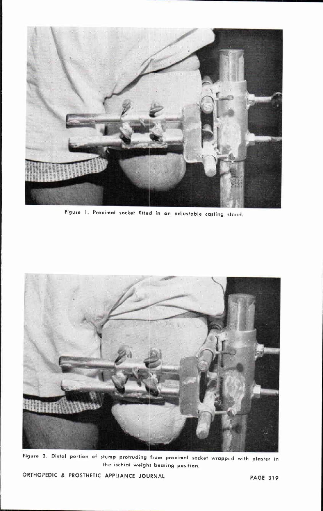

**Figure 1, Proximal socket fitted in an adjustable casting stand** 



**Figure 2. Distal portion of stump protruding from proximal socket wrapped with plaster in the ischial weight bearing position.** 

ORTHOPEDIC & PROSTHETIC APPLIANCE JOURNAL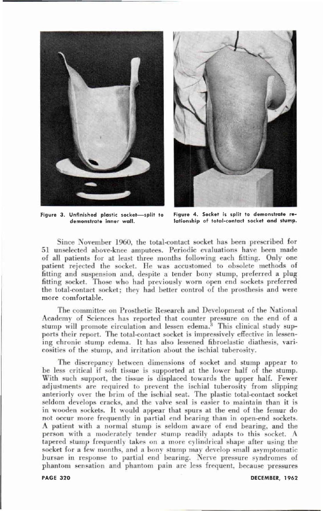

**Figure 3. Unfinished plastic socket—split to demonstrate inner wall.** 



**Figure 4. Socket is split to demonstrate relationship of total-contact socket and stump.** 

Since November 1960, the total-contact socket has been prescribed for 51 unselected above-knee amputees. Periodic evaluations have been made of all patients for at least three months following each fitting. Only one patient rejected the socket. He was accustomed to obsolete methods of fitting and suspension and, despite a tender bony stump, preferred a plug fitting socket. Those who had previously worn open end sockets preferred the total-contact socket; they had better control of the prosthesis and were more comfortable.

The committee on Prosthetic Research and Development of the National Academy of Sciences has reported that counter pressure on the end **of** a stump will promote circulation and lessen edema.<sup>3</sup> This clinical study supports their report. The total-contact socket is impressively effective in lessening chronic stump edema. It has also lessened fibroelastic diathesis, varicosities of the stump, and irritation about the ischial tuberosity.

The discrepancy between dimensions of socket and stump appear to be less critical if soft tissue is supported at the lower half of the stump. With such support, the tissue is displaced towards the upper half. Fewer adjustments are required In prevent the ischial tuberosity from slipping anteriorly over the brim of the ischial seat. The plastic total-contact socket seldom develops cracks, and the valve seal is easier to maintain than it is in wooden sockets. It would appear that spurs at the end of the femur do not occur more frequently in partial end bearing than in open-end sockets. A patient with a normal slump is seldom aware of end hearing, and the person with a moderately tender stump readily adapts to this socket. A tapered stump frequently takes on a more cylindrical shape after using the socket for a few months, and a bony stump may develop small asymptomatic bursae in response to partial end bearing. Nerve pressure syndromes of **phantom** sensation and phantom pain are less frequent, because pressures

**PAGE 320** 

DECEMBER, 1962